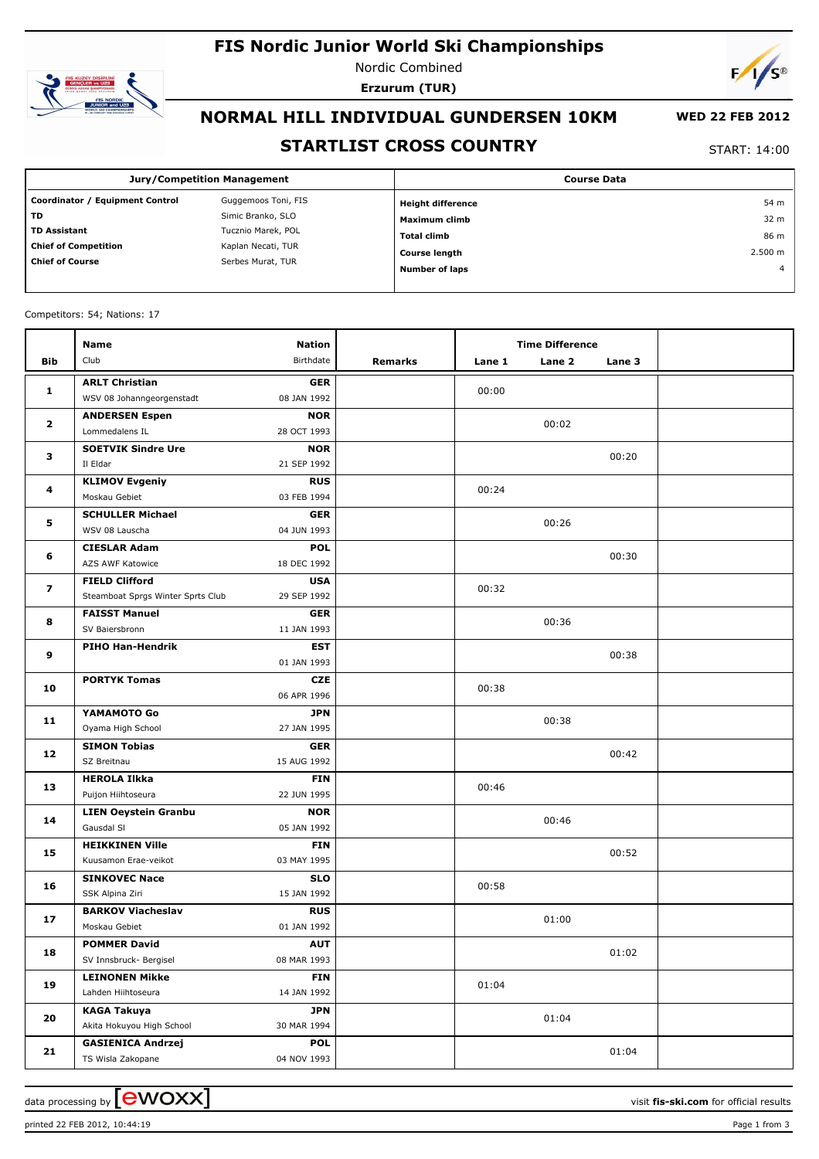## **FIS Nordic Junior World Ski Championships**



Nordic Combined **Erzurum (TUR)**



## **NORMAL HILL INDIVIDUAL GUNDERSEN 10KM**

# **WED 22 FEB 2012**

### **STARTLIST CROSS COUNTRY**

START: 14:00

| Jury/Competition Management     |                     | <b>Course Data</b>       |                |  |  |
|---------------------------------|---------------------|--------------------------|----------------|--|--|
| Coordinator / Equipment Control | Guggemoos Toni, FIS | <b>Height difference</b> | 54 m           |  |  |
| <b>TD</b>                       | Simic Branko, SLO   | Maximum climb            | 32 m           |  |  |
| <b>TD Assistant</b>             | Tucznio Marek, POL  | Total climb              | 86 m           |  |  |
| <b>Chief of Competition</b>     | Kaplan Necati, TUR  | <b>Course length</b>     | 2.500 m        |  |  |
| <b>Chief of Course</b>          | Serbes Murat, TUR   | <b>Number of laps</b>    | $\overline{a}$ |  |  |

#### Competitors: 54; Nations: 17

|                         | <b>Name</b>                                               | <b>Nation</b>             |         |        | <b>Time Difference</b> |        |  |
|-------------------------|-----------------------------------------------------------|---------------------------|---------|--------|------------------------|--------|--|
| <b>Bib</b>              | Club                                                      | Birthdate                 | Remarks | Lane 1 | Lane 2                 | Lane 3 |  |
|                         | <b>ARLT Christian</b>                                     | <b>GER</b>                |         |        |                        |        |  |
| 1                       | WSV 08 Johanngeorgenstadt                                 | 08 JAN 1992               |         | 00:00  |                        |        |  |
| $\mathbf{2}$            | <b>ANDERSEN Espen</b>                                     | <b>NOR</b>                |         |        | 00:02                  |        |  |
|                         | Lommedalens IL                                            | 28 OCT 1993               |         |        |                        |        |  |
| 3                       | <b>SOETVIK Sindre Ure</b>                                 | <b>NOR</b>                |         |        |                        | 00:20  |  |
|                         | Il Eldar                                                  | 21 SEP 1992               |         |        |                        |        |  |
| 4                       | <b>KLIMOV Evgeniy</b>                                     | <b>RUS</b>                |         | 00:24  |                        |        |  |
|                         | Moskau Gebiet                                             | 03 FEB 1994               |         |        |                        |        |  |
| 5                       | <b>SCHULLER Michael</b>                                   | <b>GER</b>                |         |        | 00:26                  |        |  |
|                         | WSV 08 Lauscha                                            | 04 JUN 1993               |         |        |                        |        |  |
| 6                       | <b>CIESLAR Adam</b>                                       | <b>POL</b>                |         |        |                        | 00:30  |  |
|                         | AZS AWF Katowice                                          | 18 DEC 1992               |         |        |                        |        |  |
| $\overline{\mathbf{z}}$ | <b>FIELD Clifford</b>                                     | <b>USA</b><br>29 SEP 1992 |         | 00:32  |                        |        |  |
|                         | Steamboat Sprgs Winter Sprts Club<br><b>FAISST Manuel</b> |                           |         |        |                        |        |  |
| 8                       | SV Baiersbronn                                            | <b>GER</b><br>11 JAN 1993 |         |        | 00:36                  |        |  |
|                         | PIHO Han-Hendrik                                          | <b>EST</b>                |         |        |                        |        |  |
| 9                       |                                                           | 01 JAN 1993               |         |        |                        | 00:38  |  |
|                         | <b>PORTYK Tomas</b>                                       | <b>CZE</b>                |         |        |                        |        |  |
| 10                      |                                                           | 06 APR 1996               |         | 00:38  |                        |        |  |
|                         | YAMAMOTO Go                                               | <b>JPN</b>                |         |        |                        |        |  |
| 11                      | Oyama High School                                         | 27 JAN 1995               |         |        | 00:38                  |        |  |
|                         | <b>SIMON Tobias</b>                                       | <b>GER</b>                |         |        |                        |        |  |
| 12                      | SZ Breitnau                                               | 15 AUG 1992               |         |        |                        | 00:42  |  |
|                         | <b>HEROLA Ilkka</b>                                       | <b>FIN</b>                |         |        |                        |        |  |
| 13                      | Puijon Hiihtoseura                                        | 22 JUN 1995               |         | 00:46  |                        |        |  |
| 14                      | <b>LIEN Oeystein Granbu</b>                               | <b>NOR</b>                |         |        | 00:46                  |        |  |
|                         | Gausdal SI                                                | 05 JAN 1992               |         |        |                        |        |  |
| 15                      | <b>HEIKKINEN Ville</b>                                    | <b>FIN</b>                |         |        |                        | 00:52  |  |
|                         | Kuusamon Erae-veikot                                      | 03 MAY 1995               |         |        |                        |        |  |
| 16                      | <b>SINKOVEC Nace</b>                                      | <b>SLO</b>                |         | 00:58  |                        |        |  |
|                         | SSK Alpina Ziri                                           | 15 JAN 1992               |         |        |                        |        |  |
| 17                      | <b>BARKOV Viacheslav</b>                                  | <b>RUS</b>                |         |        | 01:00                  |        |  |
|                         | Moskau Gebiet                                             | 01 JAN 1992               |         |        |                        |        |  |
| 18                      | <b>POMMER David</b><br>SV Innsbruck- Bergisel             | <b>AUT</b><br>08 MAR 1993 |         |        |                        | 01:02  |  |
|                         |                                                           |                           |         |        |                        |        |  |
| 19                      | <b>LEINONEN Mikke</b><br>Lahden Hiihtoseura               | <b>FIN</b><br>14 JAN 1992 |         | 01:04  |                        |        |  |
|                         | <b>KAGA Takuya</b>                                        | <b>JPN</b>                |         |        |                        |        |  |
| 20                      | Akita Hokuyou High School                                 | 30 MAR 1994               |         |        | 01:04                  |        |  |
|                         | <b>GASIENICA Andrzej</b>                                  | <b>POL</b>                |         |        |                        |        |  |
| 21                      | TS Wisla Zakopane                                         | 04 NOV 1993               |         |        |                        | 01:04  |  |
|                         |                                                           |                           |         |        |                        |        |  |

printed 22 FEB 2012, 10:44:19 **Page 1** from 3

data processing by  $\boxed{\text{ewOX}}$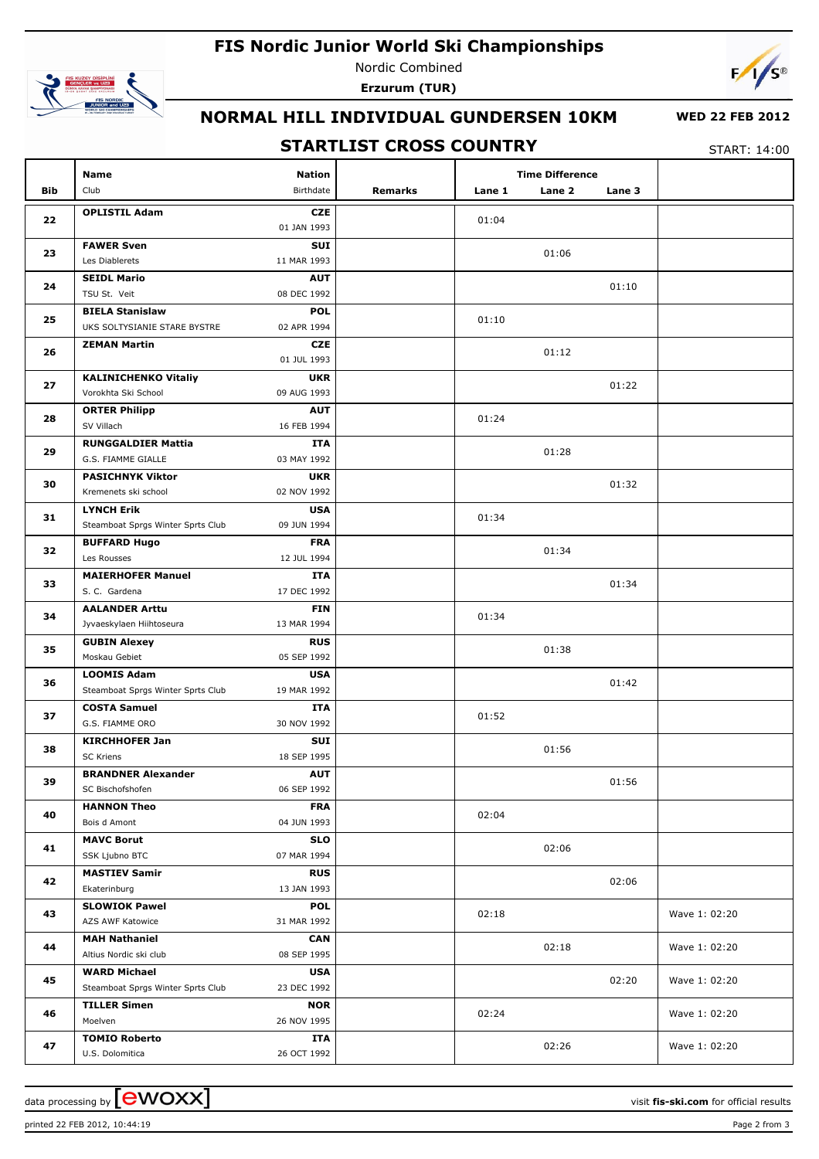## **FIS Nordic Junior World Ski Championships**



Nordic Combined **Erzurum (TUR)**



## **NORMAL HILL INDIVIDUAL GUNDERSEN 10KM**

#### **WED 22 FEB 2012**

### **STARTLIST CROSS COUNTRY**

START: 14:00

| <b>Bib</b> | <b>Name</b><br>Club                             | <b>Nation</b><br>Birthdate | <b>Remarks</b> | Lane 1 | <b>Time Difference</b><br>Lane 2<br>Lane 3 |               |
|------------|-------------------------------------------------|----------------------------|----------------|--------|--------------------------------------------|---------------|
|            |                                                 |                            |                |        |                                            |               |
| 22         | <b>OPLISTIL Adam</b>                            | <b>CZE</b><br>01 JAN 1993  |                | 01:04  |                                            |               |
| 23         | <b>FAWER Sven</b>                               | SUI                        |                |        | 01:06                                      |               |
|            | Les Diablerets                                  | 11 MAR 1993                |                |        |                                            |               |
| 24         | <b>SEIDL Mario</b>                              | <b>AUT</b>                 |                |        | 01:10                                      |               |
|            | TSU St. Veit                                    | 08 DEC 1992                |                |        |                                            |               |
| 25         | <b>BIELA Stanislaw</b>                          | <b>POL</b>                 |                | 01:10  |                                            |               |
|            | UKS SOLTYSIANIE STARE BYSTRE                    | 02 APR 1994                |                |        |                                            |               |
| 26         | <b>ZEMAN Martin</b>                             | <b>CZE</b>                 |                |        | 01:12                                      |               |
|            |                                                 | 01 JUL 1993                |                |        |                                            |               |
| 27         | <b>KALINICHENKO Vitaliy</b>                     | <b>UKR</b>                 |                |        | 01:22                                      |               |
|            | Vorokhta Ski School                             | 09 AUG 1993                |                |        |                                            |               |
| 28         | <b>ORTER Philipp</b>                            | <b>AUT</b>                 |                | 01:24  |                                            |               |
|            | SV Villach                                      | 16 FEB 1994                |                |        |                                            |               |
| 29         | <b>RUNGGALDIER Mattia</b><br>G.S. FIAMME GIALLE | ITA<br>03 MAY 1992         |                |        | 01:28                                      |               |
|            | <b>PASICHNYK Viktor</b>                         | <b>UKR</b>                 |                |        |                                            |               |
| 30         | Kremenets ski school                            | 02 NOV 1992                |                |        | 01:32                                      |               |
|            | <b>LYNCH Erik</b>                               | <b>USA</b>                 |                |        |                                            |               |
| 31         | Steamboat Sprgs Winter Sprts Club               | 09 JUN 1994                |                | 01:34  |                                            |               |
|            | <b>BUFFARD Hugo</b>                             | <b>FRA</b>                 |                |        |                                            |               |
| 32         | Les Rousses                                     | 12 JUL 1994                |                |        | 01:34                                      |               |
|            | <b>MAIERHOFER Manuel</b>                        | ITA                        |                |        |                                            |               |
| 33         | S. C. Gardena                                   | 17 DEC 1992                |                |        | 01:34                                      |               |
|            | <b>AALANDER Arttu</b>                           | <b>FIN</b>                 |                |        |                                            |               |
| 34         | Jyvaeskylaen Hiihtoseura                        | 13 MAR 1994                |                | 01:34  |                                            |               |
|            | <b>GUBIN Alexey</b>                             | <b>RUS</b>                 |                |        |                                            |               |
| 35         | Moskau Gebiet                                   | 05 SEP 1992                |                |        | 01:38                                      |               |
|            | <b>LOOMIS Adam</b>                              | <b>USA</b>                 |                |        |                                            |               |
| 36         | Steamboat Sprgs Winter Sprts Club               | 19 MAR 1992                |                |        | 01:42                                      |               |
| 37         | <b>COSTA Samuel</b>                             | ITA                        |                | 01:52  |                                            |               |
|            | G.S. FIAMME ORO                                 | 30 NOV 1992                |                |        |                                            |               |
| 38         | <b>KIRCHHOFER Jan</b>                           | SUI                        |                |        | 01:56                                      |               |
|            | SC Kriens                                       | 18 SEP 1995                |                |        |                                            |               |
| 39         | <b>BRANDNER Alexander</b>                       | <b>AUT</b>                 |                |        | 01:56                                      |               |
|            | SC Bischofshofen                                | 06 SEP 1992                |                |        |                                            |               |
| 40         | <b>HANNON Theo</b>                              | <b>FRA</b>                 |                | 02:04  |                                            |               |
|            | Bois d Amont                                    | 04 JUN 1993                |                |        |                                            |               |
| 41         | <b>MAVC Borut</b>                               | <b>SLO</b>                 |                |        | 02:06                                      |               |
|            | SSK Ljubno BTC                                  | 07 MAR 1994                |                |        |                                            |               |
| 42         | <b>MASTIEV Samir</b><br>Ekaterinburg            | <b>RUS</b><br>13 JAN 1993  |                |        | 02:06                                      |               |
|            | <b>SLOWIOK Pawel</b>                            | <b>POL</b>                 |                |        |                                            |               |
| 43         | AZS AWF Katowice                                | 31 MAR 1992                |                | 02:18  |                                            | Wave 1: 02:20 |
|            | <b>MAH Nathaniel</b>                            | <b>CAN</b>                 |                |        |                                            |               |
| 44         | Altius Nordic ski club                          | 08 SEP 1995                |                |        | 02:18                                      | Wave 1: 02:20 |
|            | <b>WARD Michael</b>                             | <b>USA</b>                 |                |        |                                            |               |
| 45         | Steamboat Sprgs Winter Sprts Club               | 23 DEC 1992                |                |        | 02:20                                      | Wave 1: 02:20 |
|            | <b>TILLER Simen</b>                             | <b>NOR</b>                 |                |        |                                            |               |
| 46         | Moelven                                         | 26 NOV 1995                |                | 02:24  |                                            | Wave 1: 02:20 |
|            | <b>TOMIO Roberto</b>                            | ITA                        |                |        |                                            |               |
| 47         | U.S. Dolomitica                                 | 26 OCT 1992                |                |        | 02:26                                      | Wave 1: 02:20 |

printed 22 FEB 2012, 10:44:19 **Page 2** from 3

data processing by **CWOXX** and  $\overline{C}$  and  $\overline{C}$  and  $\overline{C}$  and  $\overline{C}$  and  $\overline{C}$  and  $\overline{C}$  and  $\overline{C}$  and  $\overline{C}$  and  $\overline{C}$  and  $\overline{C}$  and  $\overline{C}$  and  $\overline{C}$  and  $\overline{C}$  and  $\overline{C}$  and  $\overline{C}$